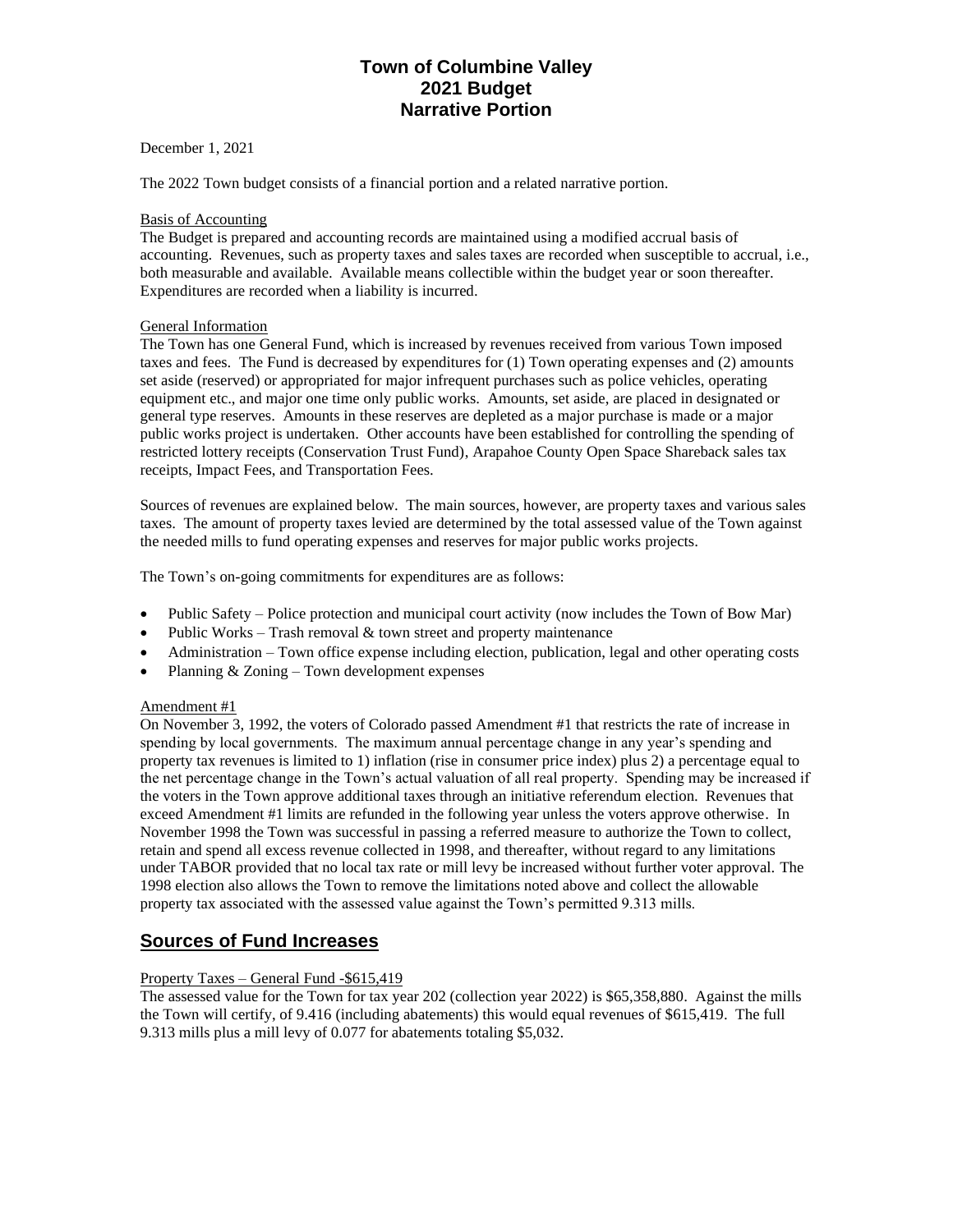# **Town of Columbine Valley 2021 Budget Narrative Portion**

December 1, 2021

The 2022 Town budget consists of a financial portion and a related narrative portion.

## Basis of Accounting

The Budget is prepared and accounting records are maintained using a modified accrual basis of accounting. Revenues, such as property taxes and sales taxes are recorded when susceptible to accrual, i.e., both measurable and available. Available means collectible within the budget year or soon thereafter. Expenditures are recorded when a liability is incurred.

## General Information

The Town has one General Fund, which is increased by revenues received from various Town imposed taxes and fees. The Fund is decreased by expenditures for (1) Town operating expenses and (2) amounts set aside (reserved) or appropriated for major infrequent purchases such as police vehicles, operating equipment etc., and major one time only public works. Amounts, set aside, are placed in designated or general type reserves. Amounts in these reserves are depleted as a major purchase is made or a major public works project is undertaken. Other accounts have been established for controlling the spending of restricted lottery receipts (Conservation Trust Fund), Arapahoe County Open Space Shareback sales tax receipts, Impact Fees, and Transportation Fees.

Sources of revenues are explained below. The main sources, however, are property taxes and various sales taxes. The amount of property taxes levied are determined by the total assessed value of the Town against the needed mills to fund operating expenses and reserves for major public works projects.

The Town's on-going commitments for expenditures are as follows:

- Public Safety Police protection and municipal court activity (now includes the Town of Bow Mar)
- Public Works Trash removal  $&$  town street and property maintenance
- Administration Town office expense including election, publication, legal and other operating costs
- Planning & Zoning Town development expenses

### Amendment #1

On November 3, 1992, the voters of Colorado passed Amendment #1 that restricts the rate of increase in spending by local governments. The maximum annual percentage change in any year's spending and property tax revenues is limited to 1) inflation (rise in consumer price index) plus 2) a percentage equal to the net percentage change in the Town's actual valuation of all real property. Spending may be increased if the voters in the Town approve additional taxes through an initiative referendum election. Revenues that exceed Amendment #1 limits are refunded in the following year unless the voters approve otherwise. In November 1998 the Town was successful in passing a referred measure to authorize the Town to collect, retain and spend all excess revenue collected in 1998, and thereafter, without regard to any limitations under TABOR provided that no local tax rate or mill levy be increased without further voter approval. The 1998 election also allows the Town to remove the limitations noted above and collect the allowable property tax associated with the assessed value against the Town's permitted 9.313 mills.

# **Sources of Fund Increases**

# Property Taxes – General Fund -\$615,419

The assessed value for the Town for tax year 202 (collection year 2022) is \$65,358,880. Against the mills the Town will certify, of 9.416 (including abatements) this would equal revenues of \$615,419. The full 9.313 mills plus a mill levy of 0.077 for abatements totaling \$5,032.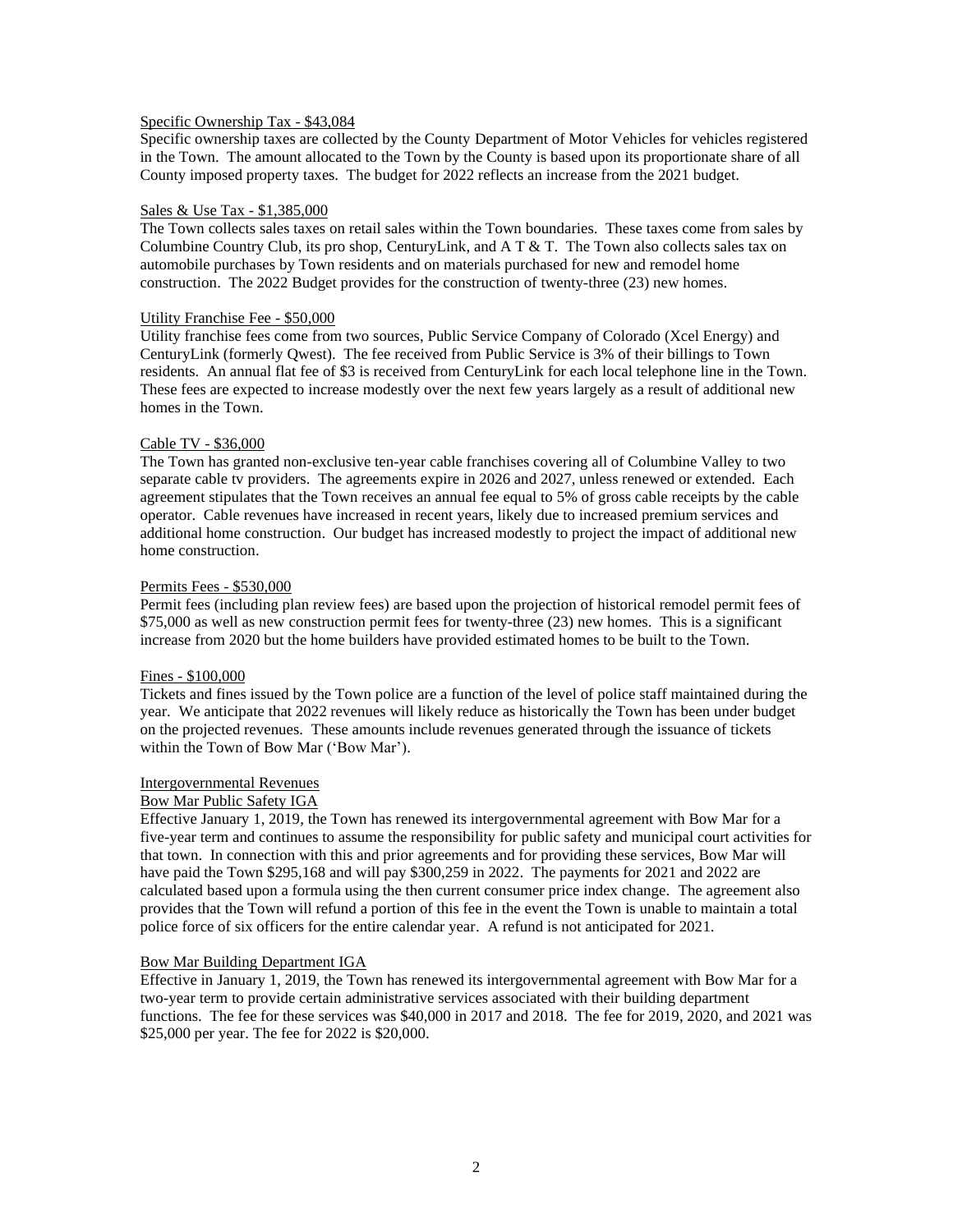# Specific Ownership Tax - \$43,084

Specific ownership taxes are collected by the County Department of Motor Vehicles for vehicles registered in the Town. The amount allocated to the Town by the County is based upon its proportionate share of all County imposed property taxes. The budget for 2022 reflects an increase from the 2021 budget.

#### Sales & Use Tax - \$1,385,000

The Town collects sales taxes on retail sales within the Town boundaries. These taxes come from sales by Columbine Country Club, its pro shop, CenturyLink, and  $A T \& T$ . The Town also collects sales tax on automobile purchases by Town residents and on materials purchased for new and remodel home construction. The 2022 Budget provides for the construction of twenty-three (23) new homes.

#### Utility Franchise Fee - \$50,000

Utility franchise fees come from two sources, Public Service Company of Colorado (Xcel Energy) and CenturyLink (formerly Qwest). The fee received from Public Service is 3% of their billings to Town residents. An annual flat fee of \$3 is received from CenturyLink for each local telephone line in the Town. These fees are expected to increase modestly over the next few years largely as a result of additional new homes in the Town.

#### Cable TV - \$36,000

The Town has granted non-exclusive ten-year cable franchises covering all of Columbine Valley to two separate cable tv providers. The agreements expire in 2026 and 2027, unless renewed or extended. Each agreement stipulates that the Town receives an annual fee equal to 5% of gross cable receipts by the cable operator. Cable revenues have increased in recent years, likely due to increased premium services and additional home construction. Our budget has increased modestly to project the impact of additional new home construction.

#### Permits Fees - \$530,000

Permit fees (including plan review fees) are based upon the projection of historical remodel permit fees of \$75,000 as well as new construction permit fees for twenty-three (23) new homes. This is a significant increase from 2020 but the home builders have provided estimated homes to be built to the Town.

### Fines - \$100,000

Tickets and fines issued by the Town police are a function of the level of police staff maintained during the year. We anticipate that 2022 revenues will likely reduce as historically the Town has been under budget on the projected revenues. These amounts include revenues generated through the issuance of tickets within the Town of Bow Mar ('Bow Mar').

### Intergovernmental Revenues

#### Bow Mar Public Safety IGA

Effective January 1, 2019, the Town has renewed its intergovernmental agreement with Bow Mar for a five-year term and continues to assume the responsibility for public safety and municipal court activities for that town. In connection with this and prior agreements and for providing these services, Bow Mar will have paid the Town \$295,168 and will pay \$300,259 in 2022. The payments for 2021 and 2022 are calculated based upon a formula using the then current consumer price index change. The agreement also provides that the Town will refund a portion of this fee in the event the Town is unable to maintain a total police force of six officers for the entire calendar year. A refund is not anticipated for 2021.

### Bow Mar Building Department IGA

Effective in January 1, 2019, the Town has renewed its intergovernmental agreement with Bow Mar for a two-year term to provide certain administrative services associated with their building department functions. The fee for these services was \$40,000 in 2017 and 2018. The fee for 2019, 2020, and 2021 was \$25,000 per year. The fee for 2022 is \$20,000.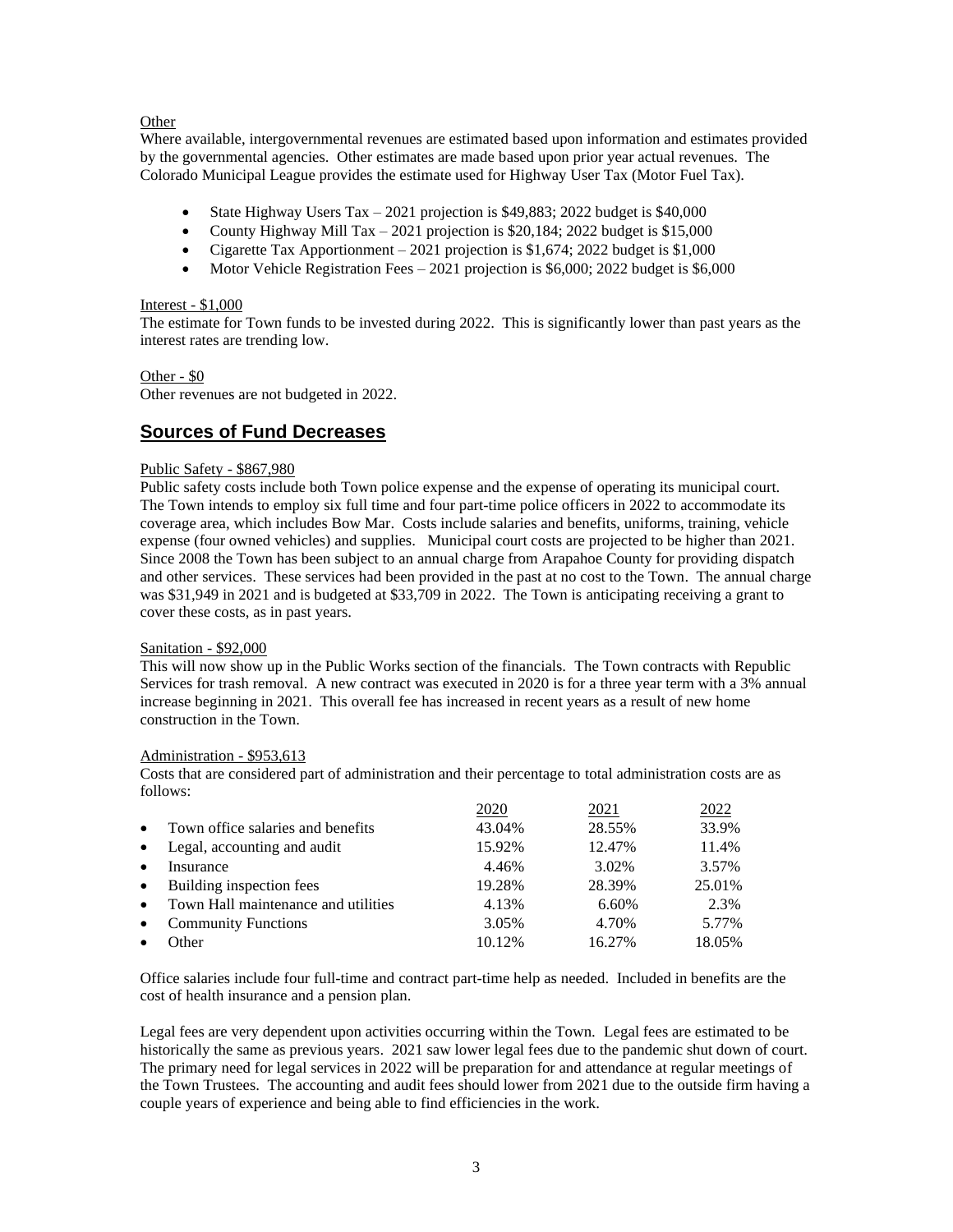## Other

Where available, intergovernmental revenues are estimated based upon information and estimates provided by the governmental agencies. Other estimates are made based upon prior year actual revenues. The Colorado Municipal League provides the estimate used for Highway User Tax (Motor Fuel Tax).

- State Highway Users Tax 2021 projection is \$49,883; 2022 budget is \$40,000
- County Highway Mill Tax 2021 projection is \$20,184; 2022 budget is \$15,000
- Cigarette Tax Apportionment 2021 projection is  $$1,674$ ; 2022 budget is  $$1,000$
- Motor Vehicle Registration Fees 2021 projection is \$6,000; 2022 budget is \$6,000

## Interest - \$1,000

The estimate for Town funds to be invested during 2022. This is significantly lower than past years as the interest rates are trending low.

# Other - \$0

Other revenues are not budgeted in 2022.

# **Sources of Fund Decreases**

## Public Safety - \$867,980

Public safety costs include both Town police expense and the expense of operating its municipal court. The Town intends to employ six full time and four part-time police officers in 2022 to accommodate its coverage area, which includes Bow Mar. Costs include salaries and benefits, uniforms, training, vehicle expense (four owned vehicles) and supplies. Municipal court costs are projected to be higher than 2021. Since 2008 the Town has been subject to an annual charge from Arapahoe County for providing dispatch and other services. These services had been provided in the past at no cost to the Town. The annual charge was \$31,949 in 2021 and is budgeted at \$33,709 in 2022. The Town is anticipating receiving a grant to cover these costs, as in past years.

### Sanitation - \$92,000

This will now show up in the Public Works section of the financials. The Town contracts with Republic Services for trash removal. A new contract was executed in 2020 is for a three year term with a 3% annual increase beginning in 2021. This overall fee has increased in recent years as a result of new home construction in the Town.

# Administration - \$953,613

Costs that are considered part of administration and their percentage to total administration costs are as follows:

|           |                                     | 2020   | 2021   | 2022   |
|-----------|-------------------------------------|--------|--------|--------|
| $\bullet$ | Town office salaries and benefits   | 43.04% | 28.55% | 33.9%  |
| $\bullet$ | Legal, accounting and audit         | 15.92% | 12.47% | 11.4%  |
| $\bullet$ | Insurance                           | 4.46%  | 3.02%  | 3.57%  |
| $\bullet$ | Building inspection fees            | 19.28% | 28.39% | 25.01% |
| $\bullet$ | Town Hall maintenance and utilities | 4.13%  | 6.60%  | 2.3%   |
| $\bullet$ | <b>Community Functions</b>          | 3.05%  | 4.70%  | 5.77%  |
|           | Other                               | 10.12% | 16.27% | 18.05% |

Office salaries include four full-time and contract part-time help as needed. Included in benefits are the cost of health insurance and a pension plan.

Legal fees are very dependent upon activities occurring within the Town. Legal fees are estimated to be historically the same as previous years. 2021 saw lower legal fees due to the pandemic shut down of court. The primary need for legal services in 2022 will be preparation for and attendance at regular meetings of the Town Trustees. The accounting and audit fees should lower from 2021 due to the outside firm having a couple years of experience and being able to find efficiencies in the work.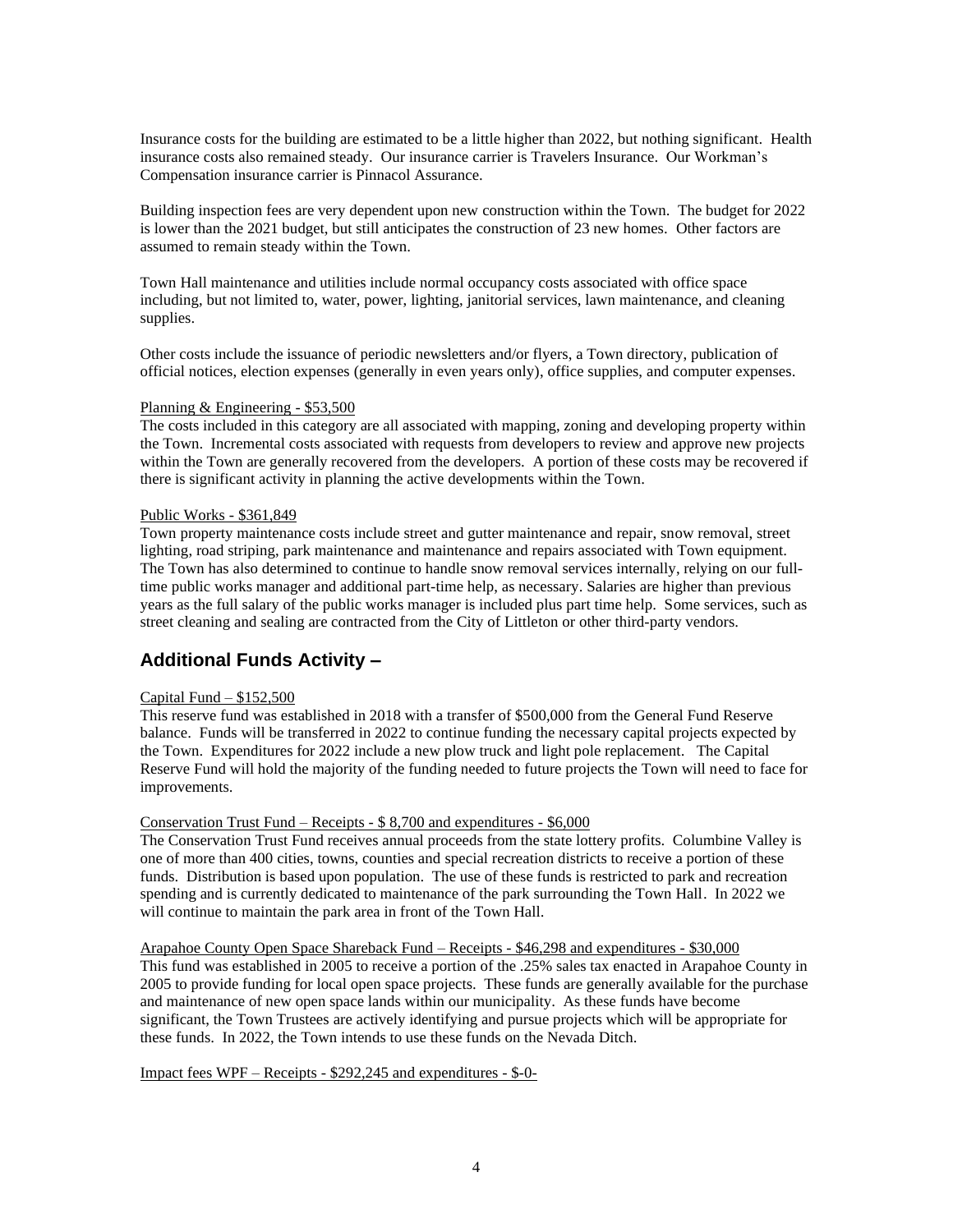Insurance costs for the building are estimated to be a little higher than 2022, but nothing significant. Health insurance costs also remained steady. Our insurance carrier is Travelers Insurance. Our Workman's Compensation insurance carrier is Pinnacol Assurance.

Building inspection fees are very dependent upon new construction within the Town. The budget for 2022 is lower than the 2021 budget, but still anticipates the construction of 23 new homes. Other factors are assumed to remain steady within the Town.

Town Hall maintenance and utilities include normal occupancy costs associated with office space including, but not limited to, water, power, lighting, janitorial services, lawn maintenance, and cleaning supplies.

Other costs include the issuance of periodic newsletters and/or flyers, a Town directory, publication of official notices, election expenses (generally in even years only), office supplies, and computer expenses.

#### Planning & Engineering - \$53,500

The costs included in this category are all associated with mapping, zoning and developing property within the Town. Incremental costs associated with requests from developers to review and approve new projects within the Town are generally recovered from the developers. A portion of these costs may be recovered if there is significant activity in planning the active developments within the Town.

## Public Works - \$361,849

Town property maintenance costs include street and gutter maintenance and repair, snow removal, street lighting, road striping, park maintenance and maintenance and repairs associated with Town equipment. The Town has also determined to continue to handle snow removal services internally, relying on our fulltime public works manager and additional part-time help, as necessary. Salaries are higher than previous years as the full salary of the public works manager is included plus part time help. Some services, such as street cleaning and sealing are contracted from the City of Littleton or other third-party vendors.

# **Additional Funds Activity –**

### Capital Fund – \$152,500

This reserve fund was established in 2018 with a transfer of \$500,000 from the General Fund Reserve balance. Funds will be transferred in 2022 to continue funding the necessary capital projects expected by the Town. Expenditures for 2022 include a new plow truck and light pole replacement. The Capital Reserve Fund will hold the majority of the funding needed to future projects the Town will need to face for improvements.

## Conservation Trust Fund – Receipts - \$ 8,700 and expenditures - \$6,000

The Conservation Trust Fund receives annual proceeds from the state lottery profits. Columbine Valley is one of more than 400 cities, towns, counties and special recreation districts to receive a portion of these funds. Distribution is based upon population. The use of these funds is restricted to park and recreation spending and is currently dedicated to maintenance of the park surrounding the Town Hall. In 2022 we will continue to maintain the park area in front of the Town Hall.

Arapahoe County Open Space Shareback Fund – Receipts - \$46,298 and expenditures - \$30,000 This fund was established in 2005 to receive a portion of the .25% sales tax enacted in Arapahoe County in 2005 to provide funding for local open space projects. These funds are generally available for the purchase and maintenance of new open space lands within our municipality. As these funds have become significant, the Town Trustees are actively identifying and pursue projects which will be appropriate for these funds. In 2022, the Town intends to use these funds on the Nevada Ditch.

Impact fees WPF – Receipts - \$292,245 and expenditures - \$-0-